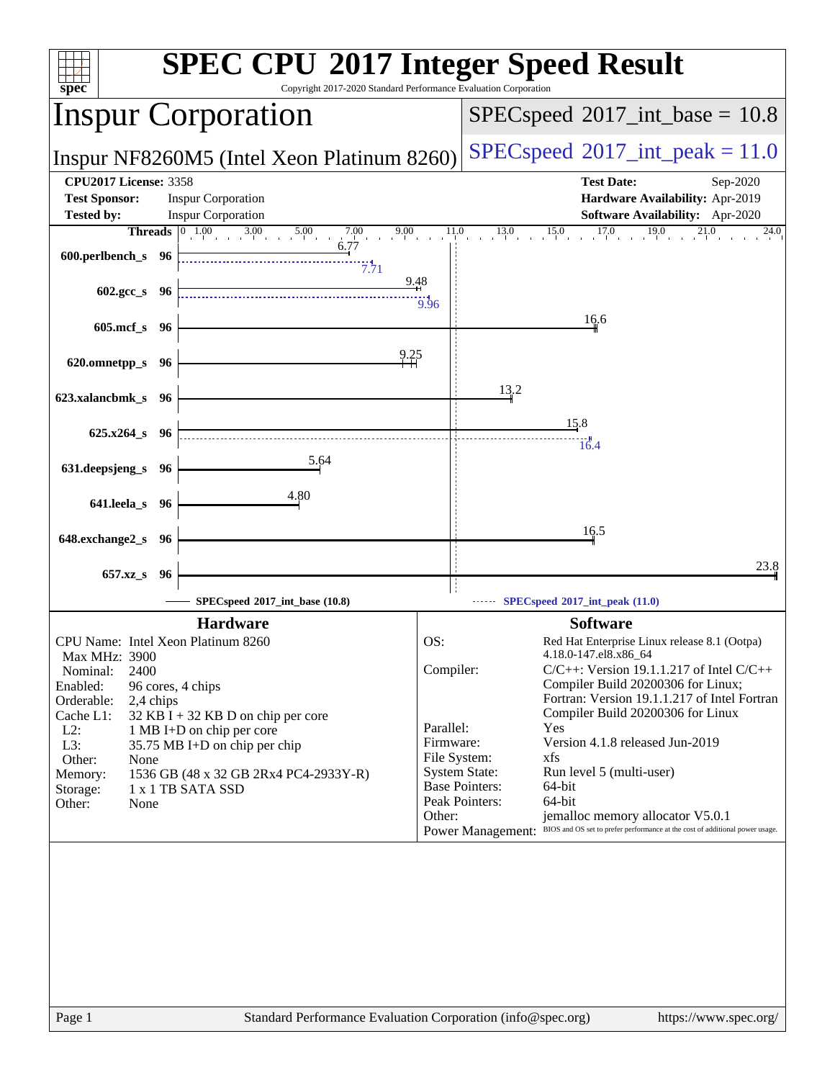| spec                                                 | Copyright 2017-2020 Standard Performance Evaluation Corporation                                                      |                        | <b>SPEC CPU®2017 Integer Speed Result</b>                                                                |
|------------------------------------------------------|----------------------------------------------------------------------------------------------------------------------|------------------------|----------------------------------------------------------------------------------------------------------|
| <b>Inspur Corporation</b>                            |                                                                                                                      |                        | $SPEC speed^{\circ}2017\_int\_base = 10.8$                                                               |
|                                                      | Inspur NF8260M5 (Intel Xeon Platinum 8260)                                                                           |                        | $SPEC speed^{\circ}2017\_int\_peak = 11.0$                                                               |
| <b>CPU2017 License: 3358</b><br><b>Test Sponsor:</b> | <b>Inspur Corporation</b>                                                                                            |                        | <b>Test Date:</b><br>Sep-2020<br>Hardware Availability: Apr-2019                                         |
| <b>Tested by:</b>                                    | <b>Inspur Corporation</b>                                                                                            |                        | Software Availability: Apr-2020                                                                          |
|                                                      | <b>Threads</b> $\begin{bmatrix} 0 & 1.00 & 3.00 & 5.00 & 7.00 \\ 0 & 0 & 0.77 & 6.77 \end{bmatrix}$<br>9.00          | 11.0                   | 17.0<br>19.0<br>13.0<br>15.0<br>21.0<br>24.0                                                             |
| 600.perlbench_s 96                                   | 7.71                                                                                                                 |                        |                                                                                                          |
| $602.\text{gcc}\,s$ 96                               | 9.48                                                                                                                 | $\frac{1}{9.96}$       |                                                                                                          |
| 605.mcf_s 96                                         |                                                                                                                      |                        | 16.6                                                                                                     |
| 620.omnetpp_s 96                                     | $^{9.25}_{+1}$                                                                                                       |                        |                                                                                                          |
| 623.xalancbmk_s 96                                   |                                                                                                                      |                        | 13.2                                                                                                     |
|                                                      |                                                                                                                      |                        | 15.8                                                                                                     |
| 625.x264_s 96                                        | <u> 1989 - Johann Stein, marwolaethau a bhann an t-Amhair an t-Amhair an t-Amhair an t-Amhair an t-Amhair an t-A</u> |                        | 16.4                                                                                                     |
| 631.deepsjeng_s 96                                   | $\frac{5.64}{ }$                                                                                                     |                        |                                                                                                          |
| 641.leela_s 96                                       | 4.80                                                                                                                 |                        |                                                                                                          |
|                                                      |                                                                                                                      |                        |                                                                                                          |
| 648.exchange2_s 96                                   |                                                                                                                      |                        | 16.5                                                                                                     |
|                                                      |                                                                                                                      |                        | 23.8                                                                                                     |
| 657.xz_s 96                                          |                                                                                                                      |                        |                                                                                                          |
|                                                      | SPECspeed®2017_int_base (10.8)                                                                                       |                        | SPECspeed <sup>®</sup> 2017_int_peak (11.0)                                                              |
|                                                      | <b>Hardware</b>                                                                                                      |                        | <b>Software</b>                                                                                          |
| CPU Name: Intel Xeon Platinum 8260                   |                                                                                                                      | OS:                    | Red Hat Enterprise Linux release 8.1 (Ootpa)                                                             |
| <b>Max MHz: 3900</b>                                 |                                                                                                                      | Compiler:              | 4.18.0-147.el8.x86_64<br>$C/C++$ : Version 19.1.1.217 of Intel $C/C++$                                   |
| 2400<br>Nominal:<br>Enabled:<br>96 cores, 4 chips    |                                                                                                                      |                        | Compiler Build 20200306 for Linux;                                                                       |
| Orderable:<br>2,4 chips                              |                                                                                                                      |                        | Fortran: Version 19.1.1.217 of Intel Fortran                                                             |
| Cache L1:                                            | $32$ KB I + 32 KB D on chip per core                                                                                 |                        | Compiler Build 20200306 for Linux                                                                        |
| $L2$ :<br>L3:                                        | 1 MB I+D on chip per core<br>35.75 MB I+D on chip per chip                                                           | Parallel:<br>Firmware: | Yes<br>Version 4.1.8 released Jun-2019                                                                   |
| Other:<br>None                                       |                                                                                                                      | File System:           | xfs                                                                                                      |
| Memory:                                              | 1536 GB (48 x 32 GB 2Rx4 PC4-2933Y-R)                                                                                |                        | <b>System State:</b><br>Run level 5 (multi-user)                                                         |
| Storage:                                             | 1 x 1 TB SATA SSD                                                                                                    |                        | <b>Base Pointers:</b><br>64-bit<br>Peak Pointers:<br>64-bit                                              |
| Other:<br>None                                       |                                                                                                                      | Other:                 | jemalloc memory allocator V5.0.1                                                                         |
|                                                      |                                                                                                                      |                        | BIOS and OS set to prefer performance at the cost of additional power usage.<br><b>Power Management:</b> |
|                                                      |                                                                                                                      |                        |                                                                                                          |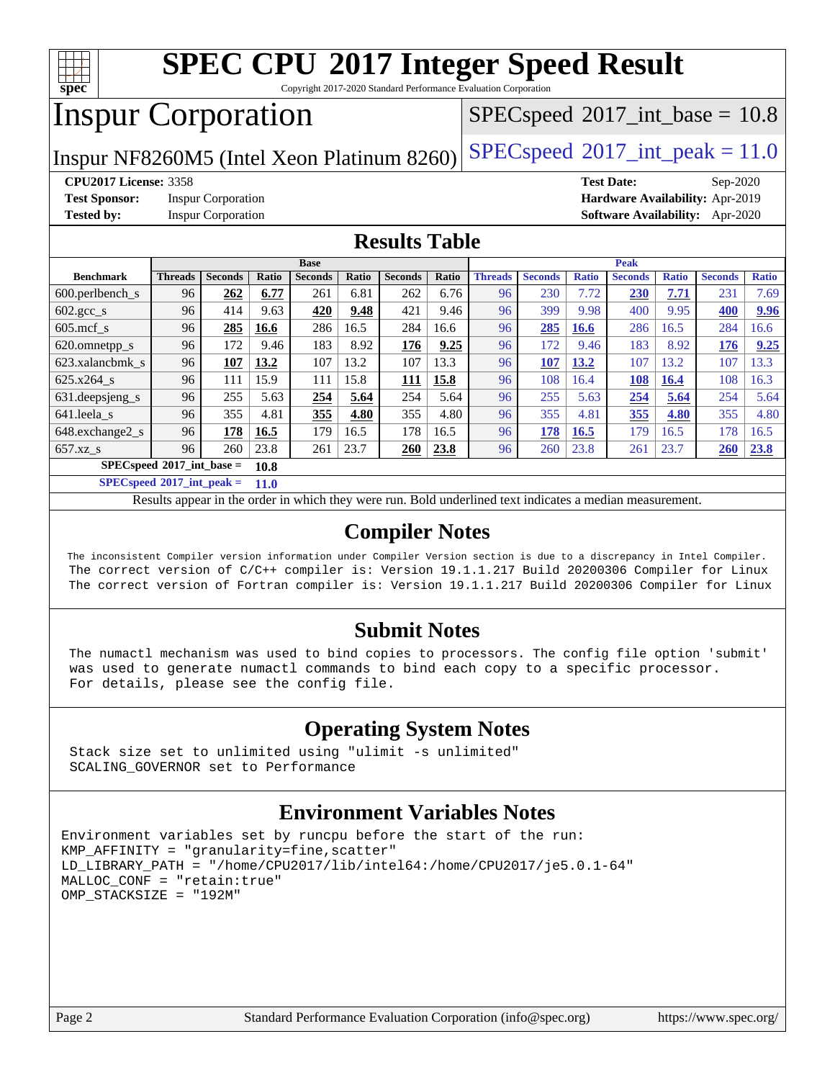

Copyright 2017-2020 Standard Performance Evaluation Corporation

## Inspur Corporation

 $SPECspeed^{\circledcirc}2017\_int\_base = 10.8$  $SPECspeed^{\circledcirc}2017\_int\_base = 10.8$ 

Inspur NF8260M5 (Intel Xeon Platinum 8260) [SPECspeed](http://www.spec.org/auto/cpu2017/Docs/result-fields.html#SPECspeed2017intpeak)<sup>®</sup>[2017\\_int\\_peak = 1](http://www.spec.org/auto/cpu2017/Docs/result-fields.html#SPECspeed2017intpeak)1.0

**[Test Sponsor:](http://www.spec.org/auto/cpu2017/Docs/result-fields.html#TestSponsor)** Inspur Corporation **[Hardware Availability:](http://www.spec.org/auto/cpu2017/Docs/result-fields.html#HardwareAvailability)** Apr-2019

**[CPU2017 License:](http://www.spec.org/auto/cpu2017/Docs/result-fields.html#CPU2017License)** 3358 **[Test Date:](http://www.spec.org/auto/cpu2017/Docs/result-fields.html#TestDate)** Sep-2020 **[Tested by:](http://www.spec.org/auto/cpu2017/Docs/result-fields.html#Testedby)** Inspur Corporation **[Software Availability:](http://www.spec.org/auto/cpu2017/Docs/result-fields.html#SoftwareAvailability)** Apr-2020

### **[Results Table](http://www.spec.org/auto/cpu2017/Docs/result-fields.html#ResultsTable)**

|                                      | <b>Base</b>    |                |       |                | <b>Peak</b> |                |       |                |                |              |                |              |                |              |
|--------------------------------------|----------------|----------------|-------|----------------|-------------|----------------|-------|----------------|----------------|--------------|----------------|--------------|----------------|--------------|
| <b>Benchmark</b>                     | <b>Threads</b> | <b>Seconds</b> | Ratio | <b>Seconds</b> | Ratio       | <b>Seconds</b> | Ratio | <b>Threads</b> | <b>Seconds</b> | <b>Ratio</b> | <b>Seconds</b> | <b>Ratio</b> | <b>Seconds</b> | <b>Ratio</b> |
| $600.$ perlbench $\mathsf{S}$        | 96             | 262            | 6.77  | 261            | 6.81        | 262            | 6.76  | 96             | 230            | 7.72         | 230            | 7.71         | 231            | 7.69         |
| $602 \text{.} \text{gcc}\text{_<}$ s | 96             | 414            | 9.63  | 420            | 9.48        | 421            | 9.46  | 96             | 399            | 9.98         | 400            | 9.95         | 400            | 9.96         |
| $605$ .mcf s                         | 96             | 285            | 16.6  | 286            | 16.5        | 284            | 16.6  | 96             | 285            | 16.6         | 286            | 16.5         | 284            | 16.6         |
| 620.omnetpp_s                        | 96             | 172            | 9.46  | 183            | 8.92        | 176            | 9.25  | 96             | 172            | 9.46         | 183            | 8.92         | 176            | 9.25         |
| 623.xalancbmk s                      | 96             | 107            | 13.2  | 107            | 13.2        | 107            | 13.3  | 96             | 107            | 13.2         | 107            | 13.2         | 107            | 3.3          |
| 625.x264 s                           | 96             | 111            | 15.9  | 111            | 15.8        | 111            | 15.8  | 96             | 108            | 16.4         | 108            | 16.4         | 108            | 16.3         |
| 631. deepsjeng_s                     | 96             | 255            | 5.63  | 254            | 5.64        | 254            | 5.64  | 96             | 255            | 5.63         | 254            | 5.64         | 254            | 5.64         |
| 641.leela s                          | 96             | 355            | 4.81  | 355            | 4.80        | 355            | 4.80  | 96             | 355            | 4.81         | 355            | 4.80         | 355            | 4.80         |
| 648.exchange2_s                      | 96             | 178            | 16.5  | 179            | 16.5        | 178            | 16.5  | 96             | 178            | 16.5         | 179            | 16.5         | 178            | 16.5         |
| $657.xz$ s                           | 96             | 260            | 23.8  | 261            | 23.7        | 260            | 23.8  | 96             | 260            | 23.8         | 261            | 23.7         | 260            | 23.8         |
| $SPECspeed*2017$ int base =<br>10.8  |                |                |       |                |             |                |       |                |                |              |                |              |                |              |

**[SPECspeed](http://www.spec.org/auto/cpu2017/Docs/result-fields.html#SPECspeed2017intpeak)[2017\\_int\\_peak =](http://www.spec.org/auto/cpu2017/Docs/result-fields.html#SPECspeed2017intpeak) 11.0**

Results appear in the [order in which they were run.](http://www.spec.org/auto/cpu2017/Docs/result-fields.html#RunOrder) Bold underlined text [indicates a median measurement](http://www.spec.org/auto/cpu2017/Docs/result-fields.html#Median).

### **[Compiler Notes](http://www.spec.org/auto/cpu2017/Docs/result-fields.html#CompilerNotes)**

 The inconsistent Compiler version information under Compiler Version section is due to a discrepancy in Intel Compiler. The correct version of C/C++ compiler is: Version 19.1.1.217 Build 20200306 Compiler for Linux The correct version of Fortran compiler is: Version 19.1.1.217 Build 20200306 Compiler for Linux

### **[Submit Notes](http://www.spec.org/auto/cpu2017/Docs/result-fields.html#SubmitNotes)**

 The numactl mechanism was used to bind copies to processors. The config file option 'submit' was used to generate numactl commands to bind each copy to a specific processor. For details, please see the config file.

### **[Operating System Notes](http://www.spec.org/auto/cpu2017/Docs/result-fields.html#OperatingSystemNotes)**

 Stack size set to unlimited using "ulimit -s unlimited" SCALING\_GOVERNOR set to Performance

### **[Environment Variables Notes](http://www.spec.org/auto/cpu2017/Docs/result-fields.html#EnvironmentVariablesNotes)**

```
Environment variables set by runcpu before the start of the run:
KMP_AFFINITY = "granularity=fine,scatter"
LD_LIBRARY_PATH = "/home/CPU2017/lib/intel64:/home/CPU2017/je5.0.1-64"
MALLOC_CONF = "retain:true"
OMP_STACKSIZE = "192M"
```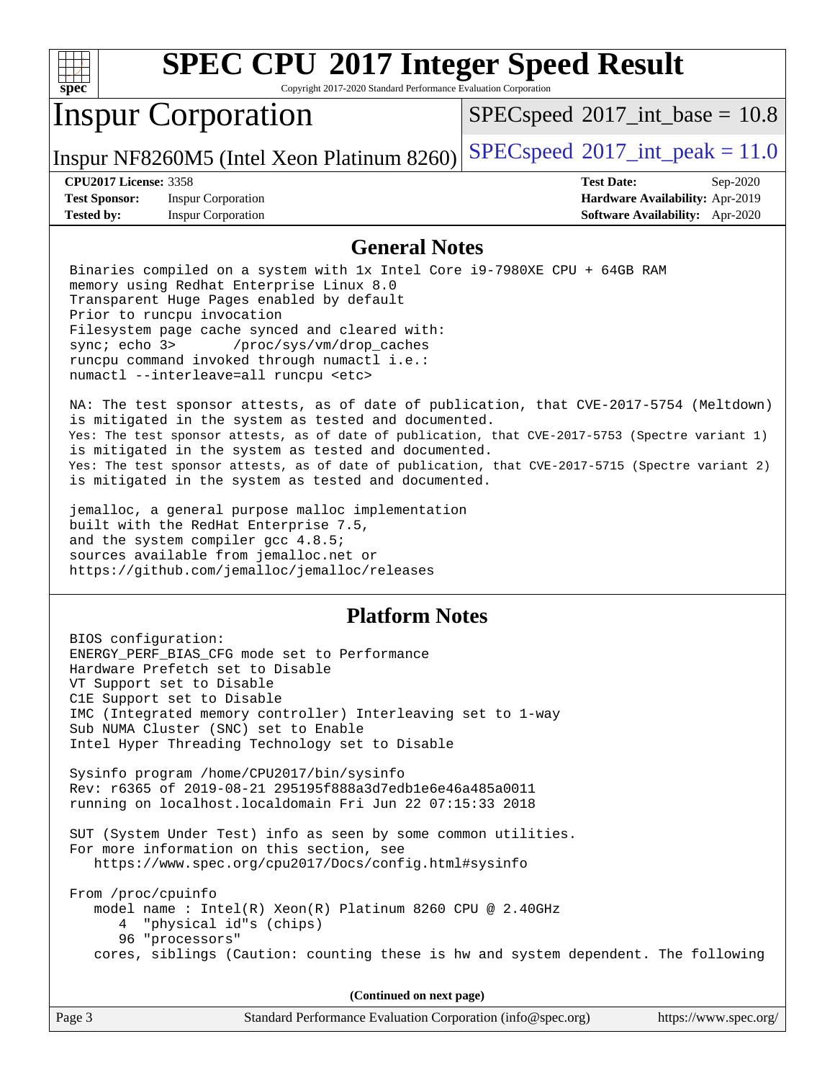

Copyright 2017-2020 Standard Performance Evaluation Corporation

## Inspur Corporation

 $SPECspeed^{\circledcirc}2017\_int\_base = 10.8$  $SPECspeed^{\circledcirc}2017\_int\_base = 10.8$ 

Inspur NF8260M5 (Intel Xeon Platinum 8260) [SPECspeed](http://www.spec.org/auto/cpu2017/Docs/result-fields.html#SPECspeed2017intpeak)<sup>®</sup>[2017\\_int\\_peak = 1](http://www.spec.org/auto/cpu2017/Docs/result-fields.html#SPECspeed2017intpeak)1.0

**[Test Sponsor:](http://www.spec.org/auto/cpu2017/Docs/result-fields.html#TestSponsor)** Inspur Corporation **[Hardware Availability:](http://www.spec.org/auto/cpu2017/Docs/result-fields.html#HardwareAvailability)** Apr-2019 **[Tested by:](http://www.spec.org/auto/cpu2017/Docs/result-fields.html#Testedby)** Inspur Corporation **[Software Availability:](http://www.spec.org/auto/cpu2017/Docs/result-fields.html#SoftwareAvailability)** Apr-2020

**[CPU2017 License:](http://www.spec.org/auto/cpu2017/Docs/result-fields.html#CPU2017License)** 3358 **[Test Date:](http://www.spec.org/auto/cpu2017/Docs/result-fields.html#TestDate)** Sep-2020

### **[General Notes](http://www.spec.org/auto/cpu2017/Docs/result-fields.html#GeneralNotes)**

 Binaries compiled on a system with 1x Intel Core i9-7980XE CPU + 64GB RAM memory using Redhat Enterprise Linux 8.0 Transparent Huge Pages enabled by default Prior to runcpu invocation Filesystem page cache synced and cleared with: sync; echo 3> /proc/sys/vm/drop\_caches runcpu command invoked through numactl i.e.: numactl --interleave=all runcpu <etc>

 NA: The test sponsor attests, as of date of publication, that CVE-2017-5754 (Meltdown) is mitigated in the system as tested and documented. Yes: The test sponsor attests, as of date of publication, that CVE-2017-5753 (Spectre variant 1) is mitigated in the system as tested and documented. Yes: The test sponsor attests, as of date of publication, that CVE-2017-5715 (Spectre variant 2) is mitigated in the system as tested and documented.

 jemalloc, a general purpose malloc implementation built with the RedHat Enterprise 7.5, and the system compiler gcc 4.8.5; sources available from jemalloc.net or <https://github.com/jemalloc/jemalloc/releases>

### **[Platform Notes](http://www.spec.org/auto/cpu2017/Docs/result-fields.html#PlatformNotes)**

 BIOS configuration: ENERGY\_PERF\_BIAS\_CFG mode set to Performance Hardware Prefetch set to Disable VT Support set to Disable C1E Support set to Disable IMC (Integrated memory controller) Interleaving set to 1-way Sub NUMA Cluster (SNC) set to Enable Intel Hyper Threading Technology set to Disable Sysinfo program /home/CPU2017/bin/sysinfo Rev: r6365 of 2019-08-21 295195f888a3d7edb1e6e46a485a0011 running on localhost.localdomain Fri Jun 22 07:15:33 2018 SUT (System Under Test) info as seen by some common utilities. For more information on this section, see <https://www.spec.org/cpu2017/Docs/config.html#sysinfo> From /proc/cpuinfo model name : Intel(R) Xeon(R) Platinum 8260 CPU @ 2.40GHz 4 "physical id"s (chips) 96 "processors" cores, siblings (Caution: counting these is hw and system dependent. The following

**(Continued on next page)**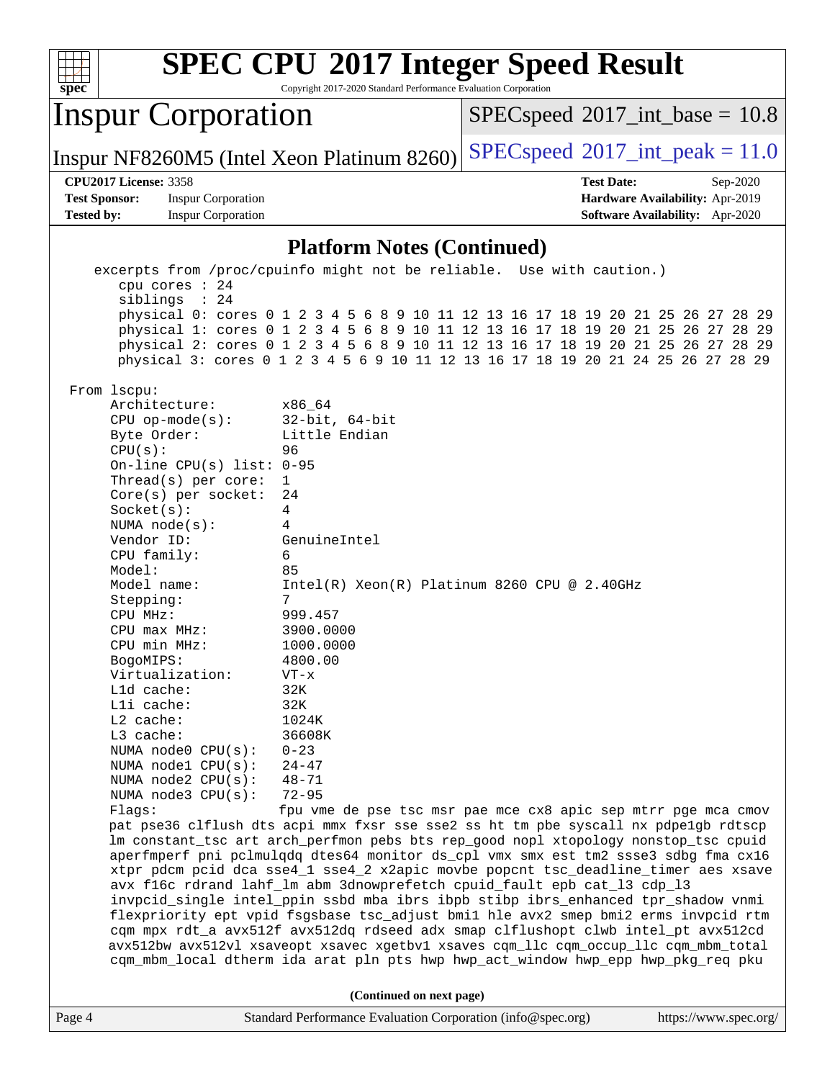| <b>SPEC CPU®2017 Integer Speed Result</b><br>Copyright 2017-2020 Standard Performance Evaluation Corporation<br>spec <sup>®</sup>                                                                                                                                                                                                                                                                                                                                                                    |                                                                                                                                                                                                                                                                                                                                                                                                                                                                                                                                                                                                                                                                                                                                                                                                                                                                                                                                                                                                                                                                                                                                                                       |                   |                                            |  |  |
|------------------------------------------------------------------------------------------------------------------------------------------------------------------------------------------------------------------------------------------------------------------------------------------------------------------------------------------------------------------------------------------------------------------------------------------------------------------------------------------------------|-----------------------------------------------------------------------------------------------------------------------------------------------------------------------------------------------------------------------------------------------------------------------------------------------------------------------------------------------------------------------------------------------------------------------------------------------------------------------------------------------------------------------------------------------------------------------------------------------------------------------------------------------------------------------------------------------------------------------------------------------------------------------------------------------------------------------------------------------------------------------------------------------------------------------------------------------------------------------------------------------------------------------------------------------------------------------------------------------------------------------------------------------------------------------|-------------------|--------------------------------------------|--|--|
| <b>Inspur Corporation</b><br>$SPEC speed^{\circ}2017\_int\_base = 10.8$                                                                                                                                                                                                                                                                                                                                                                                                                              |                                                                                                                                                                                                                                                                                                                                                                                                                                                                                                                                                                                                                                                                                                                                                                                                                                                                                                                                                                                                                                                                                                                                                                       |                   |                                            |  |  |
| Inspur NF8260M5 (Intel Xeon Platinum 8260)                                                                                                                                                                                                                                                                                                                                                                                                                                                           |                                                                                                                                                                                                                                                                                                                                                                                                                                                                                                                                                                                                                                                                                                                                                                                                                                                                                                                                                                                                                                                                                                                                                                       |                   | $SPEC speed^{\circ}2017\_int\_peak = 11.0$ |  |  |
| <b>CPU2017 License: 3358</b>                                                                                                                                                                                                                                                                                                                                                                                                                                                                         |                                                                                                                                                                                                                                                                                                                                                                                                                                                                                                                                                                                                                                                                                                                                                                                                                                                                                                                                                                                                                                                                                                                                                                       | <b>Test Date:</b> | Sep-2020                                   |  |  |
| <b>Test Sponsor:</b><br><b>Inspur Corporation</b>                                                                                                                                                                                                                                                                                                                                                                                                                                                    |                                                                                                                                                                                                                                                                                                                                                                                                                                                                                                                                                                                                                                                                                                                                                                                                                                                                                                                                                                                                                                                                                                                                                                       |                   | Hardware Availability: Apr-2019            |  |  |
| <b>Tested by:</b><br><b>Inspur Corporation</b>                                                                                                                                                                                                                                                                                                                                                                                                                                                       |                                                                                                                                                                                                                                                                                                                                                                                                                                                                                                                                                                                                                                                                                                                                                                                                                                                                                                                                                                                                                                                                                                                                                                       |                   | <b>Software Availability:</b> Apr-2020     |  |  |
|                                                                                                                                                                                                                                                                                                                                                                                                                                                                                                      | <b>Platform Notes (Continued)</b>                                                                                                                                                                                                                                                                                                                                                                                                                                                                                                                                                                                                                                                                                                                                                                                                                                                                                                                                                                                                                                                                                                                                     |                   |                                            |  |  |
|                                                                                                                                                                                                                                                                                                                                                                                                                                                                                                      | excerpts from /proc/cpuinfo might not be reliable. Use with caution.)                                                                                                                                                                                                                                                                                                                                                                                                                                                                                                                                                                                                                                                                                                                                                                                                                                                                                                                                                                                                                                                                                                 |                   |                                            |  |  |
| cpu cores : 24<br>siblings : 24                                                                                                                                                                                                                                                                                                                                                                                                                                                                      | physical 0: cores 0 1 2 3 4 5 6 8 9 10 11 12 13 16 17 18 19 20 21 25 26 27<br>physical 1: cores 0 1 2 3 4 5 6 8 9 10 11 12 13 16 17 18 19 20 21 25 26 27 28 29<br>physical 2: cores 0 1 2 3 4 5 6 8 9 10 11 12 13 16 17 18 19 20 21 25 26 27 28 29<br>physical 3: cores 0 1 2 3 4 5 6 9 10 11 12 13 16 17 18 19 20 21 24 25 26 27 28 29                                                                                                                                                                                                                                                                                                                                                                                                                                                                                                                                                                                                                                                                                                                                                                                                                               |                   | 29<br>28                                   |  |  |
| From 1scpu:<br>Architecture:<br>$CPU$ op-mode( $s$ ):<br>Byte Order:<br>CPU(s):<br>On-line CPU(s) list: $0-95$<br>Thread(s) per core:<br>Core(s) per socket:<br>Socket(s):<br>NUMA node(s):<br>Vendor ID:<br>CPU family:<br>Model:<br>Model name:<br>Stepping:<br>CPU MHz:<br>CPU max MHz:<br>CPU min MHz:<br>BogoMIPS:<br>Virtualization:<br>L1d cache:<br>Lli cache:<br>$L2$ cache:<br>L3 cache:<br>NUMA node0 CPU(s):<br>NUMA nodel CPU(s):<br>NUMA node2 CPU(s):<br>NUMA node3 CPU(s):<br>Flags: | x86 64<br>$32$ -bit, $64$ -bit<br>Little Endian<br>96<br>1<br>24<br>4<br>4<br>GenuineIntel<br>6<br>85<br>Intel(R) Xeon(R) Platinum 8260 CPU @ 2.40GHz<br>7<br>999.457<br>3900.0000<br>1000.0000<br>4800.00<br>$VT - x$<br>32K<br>32K<br>1024K<br>36608K<br>$0 - 23$<br>$24 - 47$<br>$48 - 71$<br>$72 - 95$<br>fpu vme de pse tsc msr pae mce cx8 apic sep mtrr pge mca cmov<br>pat pse36 clflush dts acpi mmx fxsr sse sse2 ss ht tm pbe syscall nx pdpe1gb rdtscp<br>lm constant_tsc art arch_perfmon pebs bts rep_good nopl xtopology nonstop_tsc cpuid<br>aperfmperf pni pclmulqdq dtes64 monitor ds_cpl vmx smx est tm2 ssse3 sdbg fma cx16<br>xtpr pdcm pcid dca sse4_1 sse4_2 x2apic movbe popcnt tsc_deadline_timer aes xsave<br>avx f16c rdrand lahf_lm abm 3dnowprefetch cpuid_fault epb cat_13 cdp_13<br>invpcid_single intel_ppin ssbd mba ibrs ibpb stibp ibrs_enhanced tpr_shadow vnmi<br>flexpriority ept vpid fsgsbase tsc_adjust bmil hle avx2 smep bmi2 erms invpcid rtm<br>cqm mpx rdt_a avx512f avx512dq rdseed adx smap clflushopt clwb intel_pt avx512cd<br>avx512bw avx512vl xsaveopt xsavec xgetbv1 xsaves cqm_llc cqm_occup_llc cqm_mbm_total |                   |                                            |  |  |
| cqm_mbm_local dtherm ida arat pln pts hwp hwp_act_window hwp_epp hwp_pkg_req pku                                                                                                                                                                                                                                                                                                                                                                                                                     |                                                                                                                                                                                                                                                                                                                                                                                                                                                                                                                                                                                                                                                                                                                                                                                                                                                                                                                                                                                                                                                                                                                                                                       |                   |                                            |  |  |
| (Continued on next page)                                                                                                                                                                                                                                                                                                                                                                                                                                                                             |                                                                                                                                                                                                                                                                                                                                                                                                                                                                                                                                                                                                                                                                                                                                                                                                                                                                                                                                                                                                                                                                                                                                                                       |                   |                                            |  |  |
| Page 4                                                                                                                                                                                                                                                                                                                                                                                                                                                                                               | Standard Performance Evaluation Corporation (info@spec.org)                                                                                                                                                                                                                                                                                                                                                                                                                                                                                                                                                                                                                                                                                                                                                                                                                                                                                                                                                                                                                                                                                                           |                   | https://www.spec.org/                      |  |  |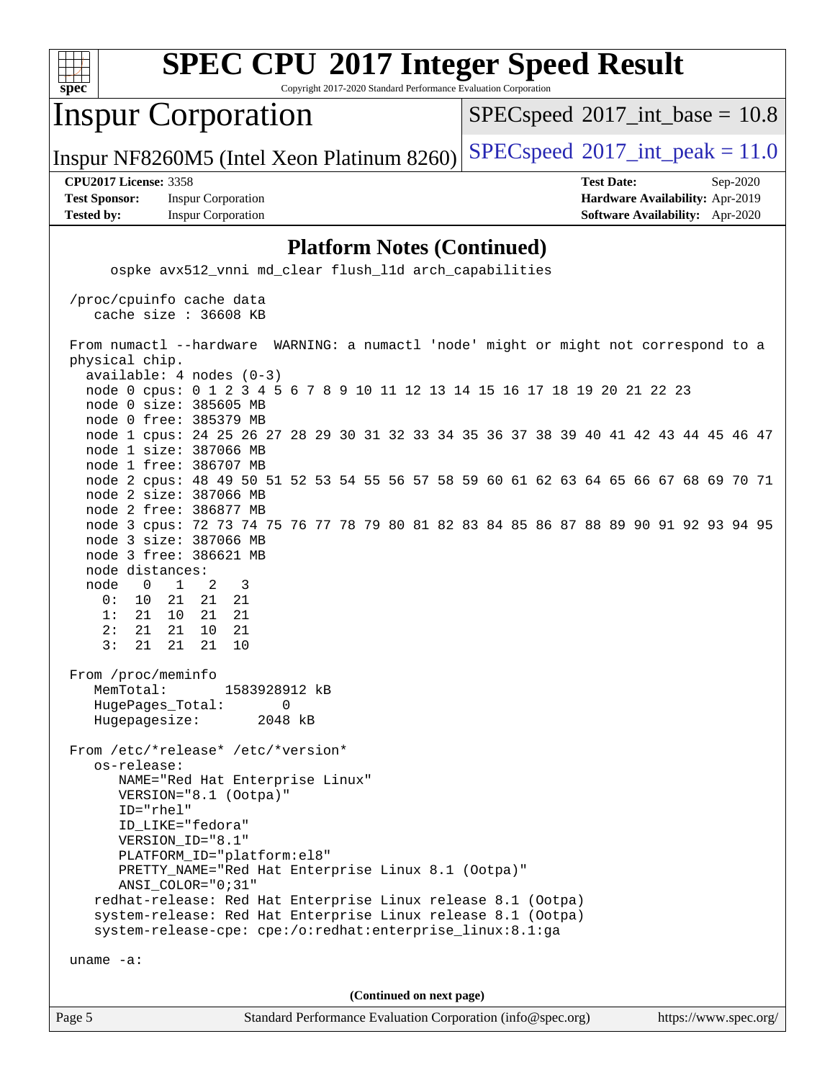

Copyright 2017-2020 Standard Performance Evaluation Corporation

## Inspur Corporation

 $SPECspeed^{\circ}2017\_int\_base = 10.8$  $SPECspeed^{\circ}2017\_int\_base = 10.8$ 

Inspur NF8260M5 (Intel Xeon Platinum 8260) [SPECspeed](http://www.spec.org/auto/cpu2017/Docs/result-fields.html#SPECspeed2017intpeak)<sup>®</sup>[2017\\_int\\_peak = 1](http://www.spec.org/auto/cpu2017/Docs/result-fields.html#SPECspeed2017intpeak)1.0

**[Test Sponsor:](http://www.spec.org/auto/cpu2017/Docs/result-fields.html#TestSponsor)** Inspur Corporation **[Hardware Availability:](http://www.spec.org/auto/cpu2017/Docs/result-fields.html#HardwareAvailability)** Apr-2019 **[Tested by:](http://www.spec.org/auto/cpu2017/Docs/result-fields.html#Testedby)** Inspur Corporation **[Software Availability:](http://www.spec.org/auto/cpu2017/Docs/result-fields.html#SoftwareAvailability)** Apr-2020

**[CPU2017 License:](http://www.spec.org/auto/cpu2017/Docs/result-fields.html#CPU2017License)** 3358 **[Test Date:](http://www.spec.org/auto/cpu2017/Docs/result-fields.html#TestDate)** Sep-2020

### **[Platform Notes \(Continued\)](http://www.spec.org/auto/cpu2017/Docs/result-fields.html#PlatformNotes)**

Page 5 Standard Performance Evaluation Corporation [\(info@spec.org\)](mailto:info@spec.org) <https://www.spec.org/> ospke avx512\_vnni md\_clear flush\_l1d arch\_capabilities /proc/cpuinfo cache data cache size : 36608 KB From numactl --hardware WARNING: a numactl 'node' might or might not correspond to a physical chip. available: 4 nodes (0-3) node 0 cpus: 0 1 2 3 4 5 6 7 8 9 10 11 12 13 14 15 16 17 18 19 20 21 22 23 node 0 size: 385605 MB node 0 free: 385379 MB node 1 cpus: 24 25 26 27 28 29 30 31 32 33 34 35 36 37 38 39 40 41 42 43 44 45 46 47 node 1 size: 387066 MB node 1 free: 386707 MB node 2 cpus: 48 49 50 51 52 53 54 55 56 57 58 59 60 61 62 63 64 65 66 67 68 69 70 71 node 2 size: 387066 MB node 2 free: 386877 MB node 3 cpus: 72 73 74 75 76 77 78 79 80 81 82 83 84 85 86 87 88 89 90 91 92 93 94 95 node 3 size: 387066 MB node 3 free: 386621 MB node distances: node 0 1 2 3 0: 10 21 21 21 1: 21 10 21 21 2: 21 21 10 21 3: 21 21 21 10 From /proc/meminfo MemTotal: 1583928912 kB HugePages\_Total: 0 Hugepagesize: 2048 kB From /etc/\*release\* /etc/\*version\* os-release: NAME="Red Hat Enterprise Linux" VERSION="8.1 (Ootpa)" ID="rhel" ID\_LIKE="fedora" VERSION\_ID="8.1" PLATFORM\_ID="platform:el8" PRETTY\_NAME="Red Hat Enterprise Linux 8.1 (Ootpa)" ANSI\_COLOR="0;31" redhat-release: Red Hat Enterprise Linux release 8.1 (Ootpa) system-release: Red Hat Enterprise Linux release 8.1 (Ootpa) system-release-cpe: cpe:/o:redhat:enterprise\_linux:8.1:ga uname -a: **(Continued on next page)**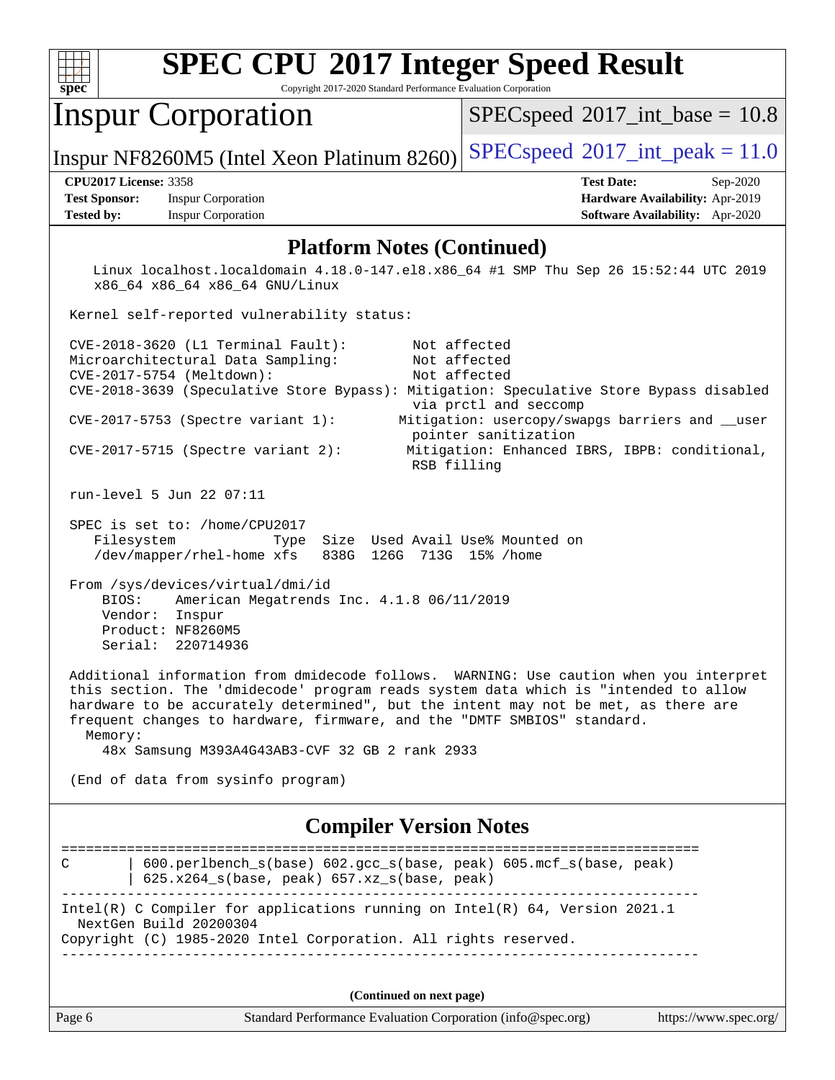

Copyright 2017-2020 Standard Performance Evaluation Corporation

## Inspur Corporation

 $SPECspeed^{\circ}2017\_int\_base = 10.8$  $SPECspeed^{\circ}2017\_int\_base = 10.8$ 

Inspur NF8260M5 (Intel Xeon Platinum 8260) [SPECspeed](http://www.spec.org/auto/cpu2017/Docs/result-fields.html#SPECspeed2017intpeak)<sup>®</sup>[2017\\_int\\_peak = 1](http://www.spec.org/auto/cpu2017/Docs/result-fields.html#SPECspeed2017intpeak)1.0

**[Test Sponsor:](http://www.spec.org/auto/cpu2017/Docs/result-fields.html#TestSponsor)** Inspur Corporation **[Hardware Availability:](http://www.spec.org/auto/cpu2017/Docs/result-fields.html#HardwareAvailability)** Apr-2019 **[Tested by:](http://www.spec.org/auto/cpu2017/Docs/result-fields.html#Testedby)** Inspur Corporation **[Software Availability:](http://www.spec.org/auto/cpu2017/Docs/result-fields.html#SoftwareAvailability)** Apr-2020

**[CPU2017 License:](http://www.spec.org/auto/cpu2017/Docs/result-fields.html#CPU2017License)** 3358 **[Test Date:](http://www.spec.org/auto/cpu2017/Docs/result-fields.html#TestDate)** Sep-2020

### **[Platform Notes \(Continued\)](http://www.spec.org/auto/cpu2017/Docs/result-fields.html#PlatformNotes)**

 Linux localhost.localdomain 4.18.0-147.el8.x86\_64 #1 SMP Thu Sep 26 15:52:44 UTC 2019 x86\_64 x86\_64 x86\_64 GNU/Linux

Kernel self-reported vulnerability status:

| $CVE-2018-3620$ (L1 Terminal Fault):<br>Microarchitectural Data Sampling:<br>CVE-2017-5754 (Meltdown): | Not affected<br>Not affected<br>Not affected                                                                     |
|--------------------------------------------------------------------------------------------------------|------------------------------------------------------------------------------------------------------------------|
|                                                                                                        | CVE-2018-3639 (Speculative Store Bypass): Mitigation: Speculative Store Bypass disabled<br>via prctl and seccomp |
| $CVE-2017-5753$ (Spectre variant 1):                                                                   | Mitigation: usercopy/swapgs barriers and __user<br>pointer sanitization                                          |
| $CVE-2017-5715$ (Spectre variant 2):                                                                   | Mitigation: Enhanced IBRS, IBPB: conditional,<br>RSB filling                                                     |

run-level 5 Jun 22 07:11

 SPEC is set to: /home/CPU2017 Filesystem Type Size Used Avail Use% Mounted on /dev/mapper/rhel-home xfs 838G 126G 713G 15% /home

 From /sys/devices/virtual/dmi/id BIOS: American Megatrends Inc. 4.1.8 06/11/2019 Vendor: Inspur Product: NF8260M5 Serial: 220714936

 Additional information from dmidecode follows. WARNING: Use caution when you interpret this section. The 'dmidecode' program reads system data which is "intended to allow hardware to be accurately determined", but the intent may not be met, as there are frequent changes to hardware, firmware, and the "DMTF SMBIOS" standard. Memory:

48x Samsung M393A4G43AB3-CVF 32 GB 2 rank 2933

(End of data from sysinfo program)

### **[Compiler Version Notes](http://www.spec.org/auto/cpu2017/Docs/result-fields.html#CompilerVersionNotes)**

| 600.perlbench $s(base)$ 602.gcc $s(base, peak)$ 605.mcf $s(base, peak)$<br>$\mathsf{C}$<br>$625.x264_s(base, peak)$ 657.xz <sub>_S</sub> (base, peak) |
|-------------------------------------------------------------------------------------------------------------------------------------------------------|
| Intel(R) C Compiler for applications running on Intel(R) $64$ , Version 2021.1                                                                        |
| NextGen Build 20200304                                                                                                                                |
| Copyright (C) 1985-2020 Intel Corporation. All rights reserved.                                                                                       |
|                                                                                                                                                       |

**(Continued on next page)**

| Page 6 | Standard Performance Evaluation Corporation (info@spec.org) | https://www.spec.org/ |
|--------|-------------------------------------------------------------|-----------------------|
|--------|-------------------------------------------------------------|-----------------------|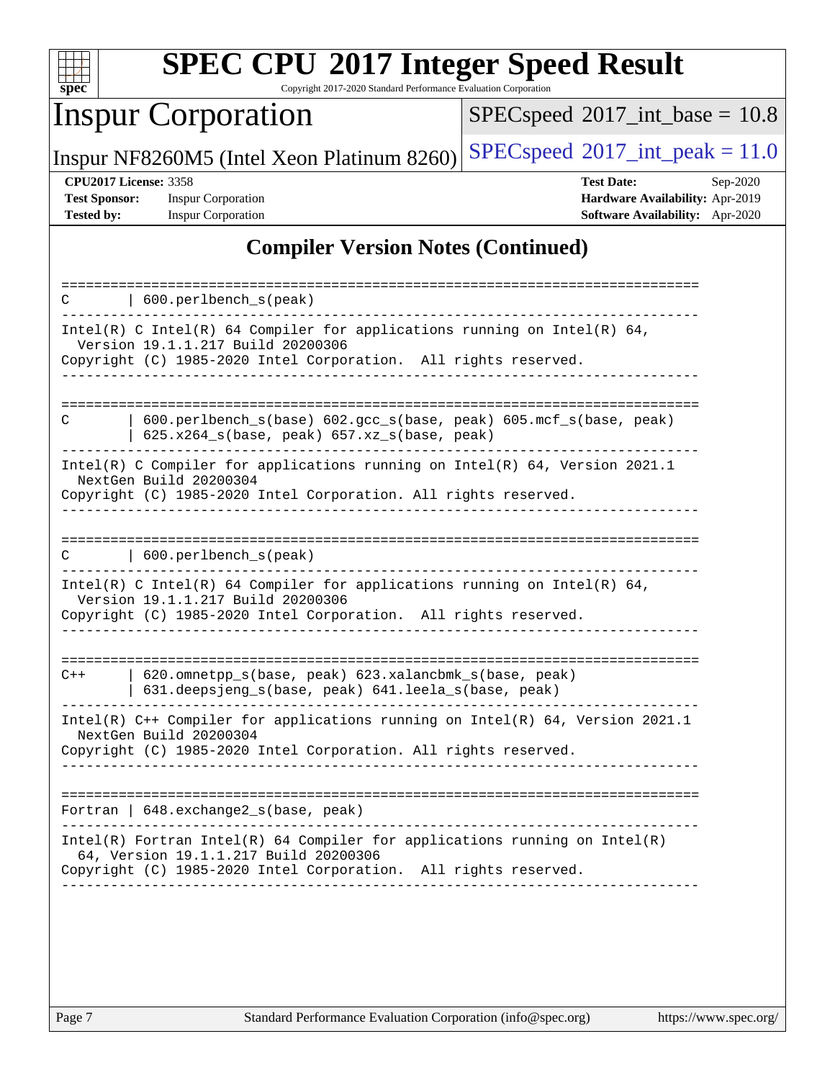

Copyright 2017-2020 Standard Performance Evaluation Corporation

## Inspur Corporation

 $SPEC speed$ <sup>®</sup> $2017$ \_int\_base = 10.8

Inspur NF8260M5 (Intel Xeon Platinum 8260) [SPECspeed](http://www.spec.org/auto/cpu2017/Docs/result-fields.html#SPECspeed2017intpeak)<sup>®</sup>[2017\\_int\\_peak = 1](http://www.spec.org/auto/cpu2017/Docs/result-fields.html#SPECspeed2017intpeak)1.0

**[Test Sponsor:](http://www.spec.org/auto/cpu2017/Docs/result-fields.html#TestSponsor)** Inspur Corporation **[Hardware Availability:](http://www.spec.org/auto/cpu2017/Docs/result-fields.html#HardwareAvailability)** Apr-2019 **[Tested by:](http://www.spec.org/auto/cpu2017/Docs/result-fields.html#Testedby)** Inspur Corporation **[Software Availability:](http://www.spec.org/auto/cpu2017/Docs/result-fields.html#SoftwareAvailability)** Apr-2020

**[CPU2017 License:](http://www.spec.org/auto/cpu2017/Docs/result-fields.html#CPU2017License)** 3358 **[Test Date:](http://www.spec.org/auto/cpu2017/Docs/result-fields.html#TestDate)** Sep-2020

### **[Compiler Version Notes \(Continued\)](http://www.spec.org/auto/cpu2017/Docs/result-fields.html#CompilerVersionNotes)**

| 600.perlbench_s(peak)                                                                                                                                                                    |
|------------------------------------------------------------------------------------------------------------------------------------------------------------------------------------------|
| Intel(R) C Intel(R) 64 Compiler for applications running on Intel(R) 64,<br>Version 19.1.1.217 Build 20200306<br>Copyright (C) 1985-2020 Intel Corporation. All rights reserved.         |
|                                                                                                                                                                                          |
| 600.perlbench_s(base) 602.gcc_s(base, peak) 605.mcf_s(base, peak)<br>C<br>$625.x264_s(base, peak) 657.xz_s(base, peak)$                                                                  |
| Intel(R) C Compiler for applications running on $Intel(R) 64$ , Version 2021.1<br>NextGen Build 20200304<br>Copyright (C) 1985-2020 Intel Corporation. All rights reserved.              |
|                                                                                                                                                                                          |
| 600.perlbench_s(peak)                                                                                                                                                                    |
| Intel(R) C Intel(R) 64 Compiler for applications running on Intel(R) 64,<br>Version 19.1.1.217 Build 20200306<br>Copyright (C) 1985-2020 Intel Corporation. All rights reserved.         |
|                                                                                                                                                                                          |
| 620.omnetpp_s(base, peak) 623.xalancbmk_s(base, peak)<br>$C++$<br>631.deepsjeng_s(base, peak) 641.leela_s(base, peak)                                                                    |
| Intel(R) $C++$ Compiler for applications running on Intel(R) 64, Version 2021.1<br>NextGen Build 20200304<br>Copyright (C) 1985-2020 Intel Corporation. All rights reserved.             |
| ---------------------------                                                                                                                                                              |
| Fortran   648. exchange2_s(base, peak)                                                                                                                                                   |
| $Intel(R)$ Fortran Intel(R) 64 Compiler for applications running on Intel(R)<br>64, Version 19.1.1.217 Build 20200306<br>Copyright (C) 1985-2020 Intel Corporation. All rights reserved. |
|                                                                                                                                                                                          |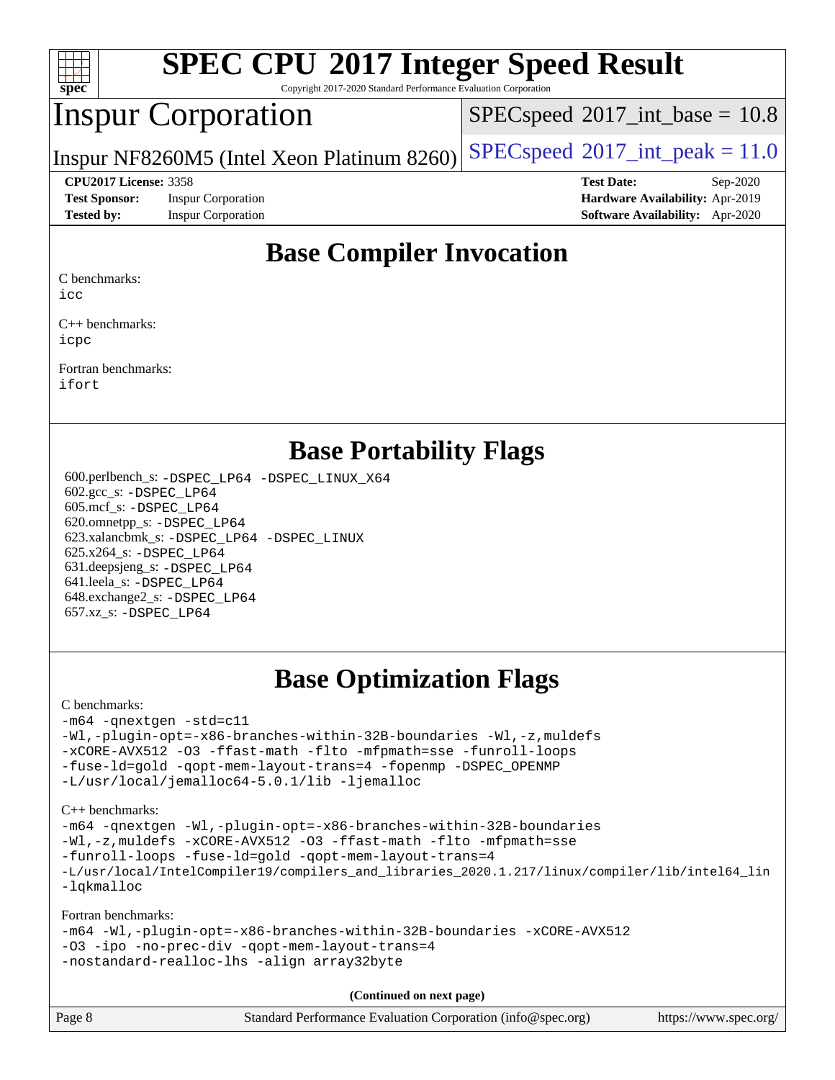

Copyright 2017-2020 Standard Performance Evaluation Corporation

## Inspur Corporation

 $SPECspeed^{\circ}2017\_int\_base = 10.8$  $SPECspeed^{\circ}2017\_int\_base = 10.8$ 

Inspur NF8260M5 (Intel Xeon Platinum 8260) [SPECspeed](http://www.spec.org/auto/cpu2017/Docs/result-fields.html#SPECspeed2017intpeak)<sup>®</sup>[2017\\_int\\_peak = 1](http://www.spec.org/auto/cpu2017/Docs/result-fields.html#SPECspeed2017intpeak)1.0

**[Test Sponsor:](http://www.spec.org/auto/cpu2017/Docs/result-fields.html#TestSponsor)** Inspur Corporation **[Hardware Availability:](http://www.spec.org/auto/cpu2017/Docs/result-fields.html#HardwareAvailability)** Apr-2019 **[Tested by:](http://www.spec.org/auto/cpu2017/Docs/result-fields.html#Testedby)** Inspur Corporation **[Software Availability:](http://www.spec.org/auto/cpu2017/Docs/result-fields.html#SoftwareAvailability)** Apr-2020

**[CPU2017 License:](http://www.spec.org/auto/cpu2017/Docs/result-fields.html#CPU2017License)** 3358 **[Test Date:](http://www.spec.org/auto/cpu2017/Docs/result-fields.html#TestDate)** Sep-2020

### **[Base Compiler Invocation](http://www.spec.org/auto/cpu2017/Docs/result-fields.html#BaseCompilerInvocation)**

[C benchmarks:](http://www.spec.org/auto/cpu2017/Docs/result-fields.html#Cbenchmarks)

[icc](http://www.spec.org/cpu2017/results/res2020q4/cpu2017-20201012-24189.flags.html#user_CCbase_intel_icc_66fc1ee009f7361af1fbd72ca7dcefbb700085f36577c54f309893dd4ec40d12360134090235512931783d35fd58c0460139e722d5067c5574d8eaf2b3e37e92)

[C++ benchmarks:](http://www.spec.org/auto/cpu2017/Docs/result-fields.html#CXXbenchmarks) [icpc](http://www.spec.org/cpu2017/results/res2020q4/cpu2017-20201012-24189.flags.html#user_CXXbase_intel_icpc_c510b6838c7f56d33e37e94d029a35b4a7bccf4766a728ee175e80a419847e808290a9b78be685c44ab727ea267ec2f070ec5dc83b407c0218cded6866a35d07)

[Fortran benchmarks](http://www.spec.org/auto/cpu2017/Docs/result-fields.html#Fortranbenchmarks): [ifort](http://www.spec.org/cpu2017/results/res2020q4/cpu2017-20201012-24189.flags.html#user_FCbase_intel_ifort_8111460550e3ca792625aed983ce982f94888b8b503583aa7ba2b8303487b4d8a21a13e7191a45c5fd58ff318f48f9492884d4413fa793fd88dd292cad7027ca)

### **[Base Portability Flags](http://www.spec.org/auto/cpu2017/Docs/result-fields.html#BasePortabilityFlags)**

 600.perlbench\_s: [-DSPEC\\_LP64](http://www.spec.org/cpu2017/results/res2020q4/cpu2017-20201012-24189.flags.html#b600.perlbench_s_basePORTABILITY_DSPEC_LP64) [-DSPEC\\_LINUX\\_X64](http://www.spec.org/cpu2017/results/res2020q4/cpu2017-20201012-24189.flags.html#b600.perlbench_s_baseCPORTABILITY_DSPEC_LINUX_X64) 602.gcc\_s: [-DSPEC\\_LP64](http://www.spec.org/cpu2017/results/res2020q4/cpu2017-20201012-24189.flags.html#suite_basePORTABILITY602_gcc_s_DSPEC_LP64) 605.mcf\_s: [-DSPEC\\_LP64](http://www.spec.org/cpu2017/results/res2020q4/cpu2017-20201012-24189.flags.html#suite_basePORTABILITY605_mcf_s_DSPEC_LP64) 620.omnetpp\_s: [-DSPEC\\_LP64](http://www.spec.org/cpu2017/results/res2020q4/cpu2017-20201012-24189.flags.html#suite_basePORTABILITY620_omnetpp_s_DSPEC_LP64) 623.xalancbmk\_s: [-DSPEC\\_LP64](http://www.spec.org/cpu2017/results/res2020q4/cpu2017-20201012-24189.flags.html#suite_basePORTABILITY623_xalancbmk_s_DSPEC_LP64) [-DSPEC\\_LINUX](http://www.spec.org/cpu2017/results/res2020q4/cpu2017-20201012-24189.flags.html#b623.xalancbmk_s_baseCXXPORTABILITY_DSPEC_LINUX) 625.x264\_s: [-DSPEC\\_LP64](http://www.spec.org/cpu2017/results/res2020q4/cpu2017-20201012-24189.flags.html#suite_basePORTABILITY625_x264_s_DSPEC_LP64) 631.deepsjeng\_s: [-DSPEC\\_LP64](http://www.spec.org/cpu2017/results/res2020q4/cpu2017-20201012-24189.flags.html#suite_basePORTABILITY631_deepsjeng_s_DSPEC_LP64) 641.leela\_s: [-DSPEC\\_LP64](http://www.spec.org/cpu2017/results/res2020q4/cpu2017-20201012-24189.flags.html#suite_basePORTABILITY641_leela_s_DSPEC_LP64) 648.exchange2\_s: [-DSPEC\\_LP64](http://www.spec.org/cpu2017/results/res2020q4/cpu2017-20201012-24189.flags.html#suite_basePORTABILITY648_exchange2_s_DSPEC_LP64) 657.xz\_s: [-DSPEC\\_LP64](http://www.spec.org/cpu2017/results/res2020q4/cpu2017-20201012-24189.flags.html#suite_basePORTABILITY657_xz_s_DSPEC_LP64)

## **[Base Optimization Flags](http://www.spec.org/auto/cpu2017/Docs/result-fields.html#BaseOptimizationFlags)**

### [C benchmarks](http://www.spec.org/auto/cpu2017/Docs/result-fields.html#Cbenchmarks):

[-m64](http://www.spec.org/cpu2017/results/res2020q4/cpu2017-20201012-24189.flags.html#user_CCbase_m64-icc) [-qnextgen](http://www.spec.org/cpu2017/results/res2020q4/cpu2017-20201012-24189.flags.html#user_CCbase_f-qnextgen) [-std=c11](http://www.spec.org/cpu2017/results/res2020q4/cpu2017-20201012-24189.flags.html#user_CCbase_std-icc-std_0e1c27790398a4642dfca32ffe6c27b5796f9c2d2676156f2e42c9c44eaad0c049b1cdb667a270c34d979996257aeb8fc440bfb01818dbc9357bd9d174cb8524) [-Wl,-plugin-opt=-x86-branches-within-32B-boundaries](http://www.spec.org/cpu2017/results/res2020q4/cpu2017-20201012-24189.flags.html#user_CCbase_f-x86-branches-within-32B-boundaries_0098b4e4317ae60947b7b728078a624952a08ac37a3c797dfb4ffeb399e0c61a9dd0f2f44ce917e9361fb9076ccb15e7824594512dd315205382d84209e912f3) [-Wl,-z,muldefs](http://www.spec.org/cpu2017/results/res2020q4/cpu2017-20201012-24189.flags.html#user_CCbase_link_force_multiple1_b4cbdb97b34bdee9ceefcfe54f4c8ea74255f0b02a4b23e853cdb0e18eb4525ac79b5a88067c842dd0ee6996c24547a27a4b99331201badda8798ef8a743f577) [-xCORE-AVX512](http://www.spec.org/cpu2017/results/res2020q4/cpu2017-20201012-24189.flags.html#user_CCbase_f-xCORE-AVX512) [-O3](http://www.spec.org/cpu2017/results/res2020q4/cpu2017-20201012-24189.flags.html#user_CCbase_f-O3) [-ffast-math](http://www.spec.org/cpu2017/results/res2020q4/cpu2017-20201012-24189.flags.html#user_CCbase_f-ffast-math) [-flto](http://www.spec.org/cpu2017/results/res2020q4/cpu2017-20201012-24189.flags.html#user_CCbase_f-flto) [-mfpmath=sse](http://www.spec.org/cpu2017/results/res2020q4/cpu2017-20201012-24189.flags.html#user_CCbase_f-mfpmath_70eb8fac26bde974f8ab713bc9086c5621c0b8d2f6c86f38af0bd7062540daf19db5f3a066d8c6684be05d84c9b6322eb3b5be6619d967835195b93d6c02afa1) [-funroll-loops](http://www.spec.org/cpu2017/results/res2020q4/cpu2017-20201012-24189.flags.html#user_CCbase_f-funroll-loops) [-fuse-ld=gold](http://www.spec.org/cpu2017/results/res2020q4/cpu2017-20201012-24189.flags.html#user_CCbase_f-fuse-ld_920b3586e2b8c6e0748b9c84fa9b744736ba725a32cab14ad8f3d4ad28eecb2f59d1144823d2e17006539a88734fe1fc08fc3035f7676166309105a78aaabc32) [-qopt-mem-layout-trans=4](http://www.spec.org/cpu2017/results/res2020q4/cpu2017-20201012-24189.flags.html#user_CCbase_f-qopt-mem-layout-trans_fa39e755916c150a61361b7846f310bcdf6f04e385ef281cadf3647acec3f0ae266d1a1d22d972a7087a248fd4e6ca390a3634700869573d231a252c784941a8) [-fopenmp](http://www.spec.org/cpu2017/results/res2020q4/cpu2017-20201012-24189.flags.html#user_CCbase_fopenmp_5aa2e47ce4f2ef030ba5d12d5a7a9c4e57167333d78243fcadb80b48d5abb78ff19333f8478e0b2a41e63049eb285965c145ccab7b93db7d0c4d59e4dc6f5591) [-DSPEC\\_OPENMP](http://www.spec.org/cpu2017/results/res2020q4/cpu2017-20201012-24189.flags.html#suite_CCbase_DSPEC_OPENMP) [-L/usr/local/jemalloc64-5.0.1/lib](http://www.spec.org/cpu2017/results/res2020q4/cpu2017-20201012-24189.flags.html#user_CCbase_jemalloc_link_path64_1_cc289568b1a6c0fd3b62c91b824c27fcb5af5e8098e6ad028160d21144ef1b8aef3170d2acf0bee98a8da324cfe4f67d0a3d0c4cc4673d993d694dc2a0df248b) [-ljemalloc](http://www.spec.org/cpu2017/results/res2020q4/cpu2017-20201012-24189.flags.html#user_CCbase_jemalloc_link_lib_d1249b907c500fa1c0672f44f562e3d0f79738ae9e3c4a9c376d49f265a04b9c99b167ecedbf6711b3085be911c67ff61f150a17b3472be731631ba4d0471706)

[C++ benchmarks:](http://www.spec.org/auto/cpu2017/Docs/result-fields.html#CXXbenchmarks)

[-m64](http://www.spec.org/cpu2017/results/res2020q4/cpu2017-20201012-24189.flags.html#user_CXXbase_m64-icc) [-qnextgen](http://www.spec.org/cpu2017/results/res2020q4/cpu2017-20201012-24189.flags.html#user_CXXbase_f-qnextgen) [-Wl,-plugin-opt=-x86-branches-within-32B-boundaries](http://www.spec.org/cpu2017/results/res2020q4/cpu2017-20201012-24189.flags.html#user_CXXbase_f-x86-branches-within-32B-boundaries_0098b4e4317ae60947b7b728078a624952a08ac37a3c797dfb4ffeb399e0c61a9dd0f2f44ce917e9361fb9076ccb15e7824594512dd315205382d84209e912f3) [-Wl,-z,muldefs](http://www.spec.org/cpu2017/results/res2020q4/cpu2017-20201012-24189.flags.html#user_CXXbase_link_force_multiple1_b4cbdb97b34bdee9ceefcfe54f4c8ea74255f0b02a4b23e853cdb0e18eb4525ac79b5a88067c842dd0ee6996c24547a27a4b99331201badda8798ef8a743f577) [-xCORE-AVX512](http://www.spec.org/cpu2017/results/res2020q4/cpu2017-20201012-24189.flags.html#user_CXXbase_f-xCORE-AVX512) [-O3](http://www.spec.org/cpu2017/results/res2020q4/cpu2017-20201012-24189.flags.html#user_CXXbase_f-O3) [-ffast-math](http://www.spec.org/cpu2017/results/res2020q4/cpu2017-20201012-24189.flags.html#user_CXXbase_f-ffast-math) [-flto](http://www.spec.org/cpu2017/results/res2020q4/cpu2017-20201012-24189.flags.html#user_CXXbase_f-flto) [-mfpmath=sse](http://www.spec.org/cpu2017/results/res2020q4/cpu2017-20201012-24189.flags.html#user_CXXbase_f-mfpmath_70eb8fac26bde974f8ab713bc9086c5621c0b8d2f6c86f38af0bd7062540daf19db5f3a066d8c6684be05d84c9b6322eb3b5be6619d967835195b93d6c02afa1) [-funroll-loops](http://www.spec.org/cpu2017/results/res2020q4/cpu2017-20201012-24189.flags.html#user_CXXbase_f-funroll-loops) [-fuse-ld=gold](http://www.spec.org/cpu2017/results/res2020q4/cpu2017-20201012-24189.flags.html#user_CXXbase_f-fuse-ld_920b3586e2b8c6e0748b9c84fa9b744736ba725a32cab14ad8f3d4ad28eecb2f59d1144823d2e17006539a88734fe1fc08fc3035f7676166309105a78aaabc32) [-qopt-mem-layout-trans=4](http://www.spec.org/cpu2017/results/res2020q4/cpu2017-20201012-24189.flags.html#user_CXXbase_f-qopt-mem-layout-trans_fa39e755916c150a61361b7846f310bcdf6f04e385ef281cadf3647acec3f0ae266d1a1d22d972a7087a248fd4e6ca390a3634700869573d231a252c784941a8) [-L/usr/local/IntelCompiler19/compilers\\_and\\_libraries\\_2020.1.217/linux/compiler/lib/intel64\\_lin](http://www.spec.org/cpu2017/results/res2020q4/cpu2017-20201012-24189.flags.html#user_CXXbase_linkpath_2cb6f503891ebf8baee7515f4e7d4ec1217444d1d05903cc0091ac4158de400651d2b2313a9fa414cb8a8f0e16ab029634f5c6db340f400369c190d4db8a54a0) [-lqkmalloc](http://www.spec.org/cpu2017/results/res2020q4/cpu2017-20201012-24189.flags.html#user_CXXbase_qkmalloc_link_lib_79a818439969f771c6bc311cfd333c00fc099dad35c030f5aab9dda831713d2015205805422f83de8875488a2991c0a156aaa600e1f9138f8fc37004abc96dc5)

[Fortran benchmarks:](http://www.spec.org/auto/cpu2017/Docs/result-fields.html#Fortranbenchmarks)

```
-m64 -Wl,-plugin-opt=-x86-branches-within-32B-boundaries -xCORE-AVX512
-O3 -ipo -no-prec-div -qopt-mem-layout-trans=4
-nostandard-realloc-lhs -align array32byte
```
**(Continued on next page)**

| Page 8 | Standard Performance Evaluation Corporation (info@spec.org) | https://www.spec.org/ |
|--------|-------------------------------------------------------------|-----------------------|
|--------|-------------------------------------------------------------|-----------------------|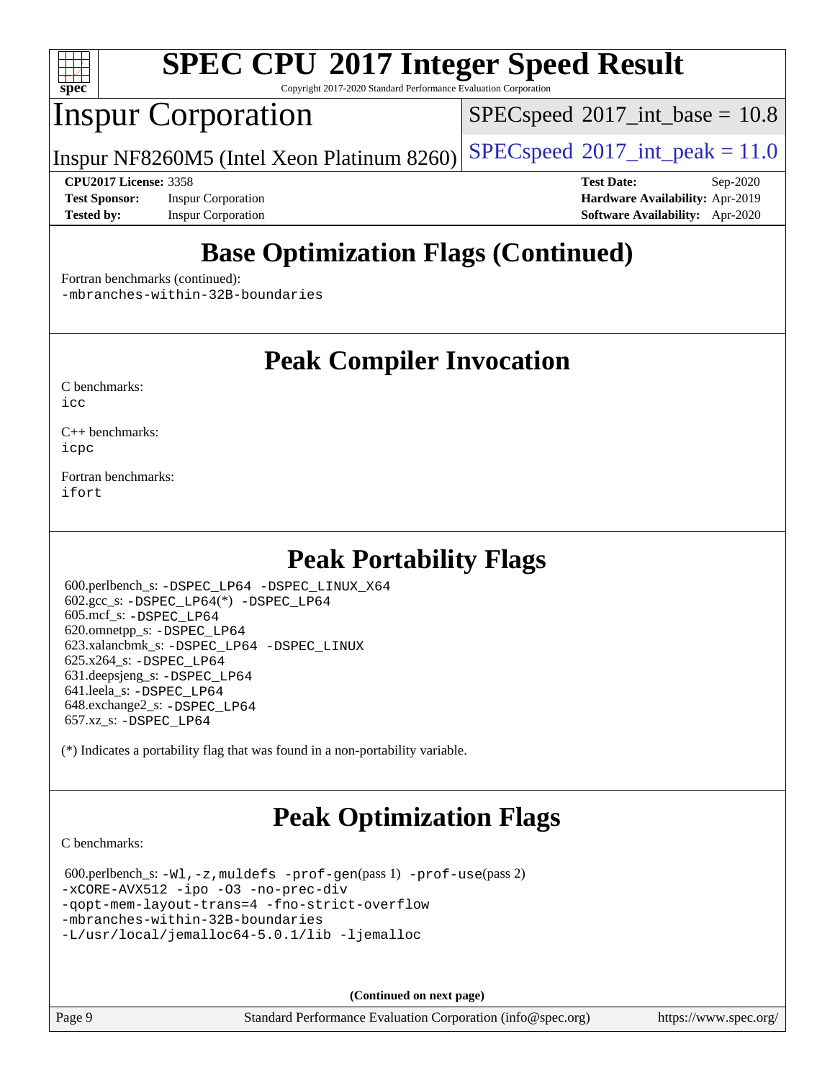

Copyright 2017-2020 Standard Performance Evaluation Corporation

## Inspur Corporation

 $SPECspeed^{\circ}2017\_int\_base = 10.8$  $SPECspeed^{\circ}2017\_int\_base = 10.8$ 

Inspur NF8260M5 (Intel Xeon Platinum 8260) [SPECspeed](http://www.spec.org/auto/cpu2017/Docs/result-fields.html#SPECspeed2017intpeak)<sup>®</sup>[2017\\_int\\_peak = 1](http://www.spec.org/auto/cpu2017/Docs/result-fields.html#SPECspeed2017intpeak)1.0

**[Test Sponsor:](http://www.spec.org/auto/cpu2017/Docs/result-fields.html#TestSponsor)** Inspur Corporation **[Hardware Availability:](http://www.spec.org/auto/cpu2017/Docs/result-fields.html#HardwareAvailability)** Apr-2019 **[Tested by:](http://www.spec.org/auto/cpu2017/Docs/result-fields.html#Testedby)** Inspur Corporation **[Software Availability:](http://www.spec.org/auto/cpu2017/Docs/result-fields.html#SoftwareAvailability)** Apr-2020

**[CPU2017 License:](http://www.spec.org/auto/cpu2017/Docs/result-fields.html#CPU2017License)** 3358 **[Test Date:](http://www.spec.org/auto/cpu2017/Docs/result-fields.html#TestDate)** Sep-2020

## **[Base Optimization Flags \(Continued\)](http://www.spec.org/auto/cpu2017/Docs/result-fields.html#BaseOptimizationFlags)**

[Fortran benchmarks](http://www.spec.org/auto/cpu2017/Docs/result-fields.html#Fortranbenchmarks) (continued):

[-mbranches-within-32B-boundaries](http://www.spec.org/cpu2017/results/res2020q4/cpu2017-20201012-24189.flags.html#user_FCbase_f-mbranches-within-32B-boundaries)

### **[Peak Compiler Invocation](http://www.spec.org/auto/cpu2017/Docs/result-fields.html#PeakCompilerInvocation)**

[C benchmarks](http://www.spec.org/auto/cpu2017/Docs/result-fields.html#Cbenchmarks):  $i$ cc

[C++ benchmarks:](http://www.spec.org/auto/cpu2017/Docs/result-fields.html#CXXbenchmarks) [icpc](http://www.spec.org/cpu2017/results/res2020q4/cpu2017-20201012-24189.flags.html#user_CXXpeak_intel_icpc_c510b6838c7f56d33e37e94d029a35b4a7bccf4766a728ee175e80a419847e808290a9b78be685c44ab727ea267ec2f070ec5dc83b407c0218cded6866a35d07)

[Fortran benchmarks](http://www.spec.org/auto/cpu2017/Docs/result-fields.html#Fortranbenchmarks): [ifort](http://www.spec.org/cpu2017/results/res2020q4/cpu2017-20201012-24189.flags.html#user_FCpeak_intel_ifort_8111460550e3ca792625aed983ce982f94888b8b503583aa7ba2b8303487b4d8a21a13e7191a45c5fd58ff318f48f9492884d4413fa793fd88dd292cad7027ca)

## **[Peak Portability Flags](http://www.spec.org/auto/cpu2017/Docs/result-fields.html#PeakPortabilityFlags)**

 600.perlbench\_s: [-DSPEC\\_LP64](http://www.spec.org/cpu2017/results/res2020q4/cpu2017-20201012-24189.flags.html#b600.perlbench_s_peakPORTABILITY_DSPEC_LP64) [-DSPEC\\_LINUX\\_X64](http://www.spec.org/cpu2017/results/res2020q4/cpu2017-20201012-24189.flags.html#b600.perlbench_s_peakCPORTABILITY_DSPEC_LINUX_X64)  $602.\text{gcc}\$ s: -DSPEC LP64(\*) -DSPEC LP64 605.mcf\_s: [-DSPEC\\_LP64](http://www.spec.org/cpu2017/results/res2020q4/cpu2017-20201012-24189.flags.html#suite_peakPORTABILITY605_mcf_s_DSPEC_LP64) 620.omnetpp\_s: [-DSPEC\\_LP64](http://www.spec.org/cpu2017/results/res2020q4/cpu2017-20201012-24189.flags.html#suite_peakPORTABILITY620_omnetpp_s_DSPEC_LP64) 623.xalancbmk\_s: [-DSPEC\\_LP64](http://www.spec.org/cpu2017/results/res2020q4/cpu2017-20201012-24189.flags.html#suite_peakPORTABILITY623_xalancbmk_s_DSPEC_LP64) [-DSPEC\\_LINUX](http://www.spec.org/cpu2017/results/res2020q4/cpu2017-20201012-24189.flags.html#b623.xalancbmk_s_peakCXXPORTABILITY_DSPEC_LINUX) 625.x264\_s: [-DSPEC\\_LP64](http://www.spec.org/cpu2017/results/res2020q4/cpu2017-20201012-24189.flags.html#suite_peakPORTABILITY625_x264_s_DSPEC_LP64) 631.deepsjeng\_s: [-DSPEC\\_LP64](http://www.spec.org/cpu2017/results/res2020q4/cpu2017-20201012-24189.flags.html#suite_peakPORTABILITY631_deepsjeng_s_DSPEC_LP64) 641.leela\_s: [-DSPEC\\_LP64](http://www.spec.org/cpu2017/results/res2020q4/cpu2017-20201012-24189.flags.html#suite_peakPORTABILITY641_leela_s_DSPEC_LP64) 648.exchange2\_s: [-DSPEC\\_LP64](http://www.spec.org/cpu2017/results/res2020q4/cpu2017-20201012-24189.flags.html#suite_peakPORTABILITY648_exchange2_s_DSPEC_LP64) 657.xz\_s: [-DSPEC\\_LP64](http://www.spec.org/cpu2017/results/res2020q4/cpu2017-20201012-24189.flags.html#suite_peakPORTABILITY657_xz_s_DSPEC_LP64)

(\*) Indicates a portability flag that was found in a non-portability variable.

## **[Peak Optimization Flags](http://www.spec.org/auto/cpu2017/Docs/result-fields.html#PeakOptimizationFlags)**

[C benchmarks](http://www.spec.org/auto/cpu2017/Docs/result-fields.html#Cbenchmarks):

 600.perlbench\_s: [-Wl,-z,muldefs](http://www.spec.org/cpu2017/results/res2020q4/cpu2017-20201012-24189.flags.html#user_peakEXTRA_LDFLAGS600_perlbench_s_link_force_multiple1_b4cbdb97b34bdee9ceefcfe54f4c8ea74255f0b02a4b23e853cdb0e18eb4525ac79b5a88067c842dd0ee6996c24547a27a4b99331201badda8798ef8a743f577) [-prof-gen](http://www.spec.org/cpu2017/results/res2020q4/cpu2017-20201012-24189.flags.html#user_peakPASS1_CFLAGSPASS1_LDFLAGS600_perlbench_s_prof_gen_5aa4926d6013ddb2a31985c654b3eb18169fc0c6952a63635c234f711e6e63dd76e94ad52365559451ec499a2cdb89e4dc58ba4c67ef54ca681ffbe1461d6b36)(pass 1) [-prof-use](http://www.spec.org/cpu2017/results/res2020q4/cpu2017-20201012-24189.flags.html#user_peakPASS2_CFLAGSPASS2_LDFLAGS600_perlbench_s_prof_use_1a21ceae95f36a2b53c25747139a6c16ca95bd9def2a207b4f0849963b97e94f5260e30a0c64f4bb623698870e679ca08317ef8150905d41bd88c6f78df73f19)(pass 2) [-xCORE-AVX512](http://www.spec.org/cpu2017/results/res2020q4/cpu2017-20201012-24189.flags.html#user_peakCOPTIMIZE600_perlbench_s_f-xCORE-AVX512) [-ipo](http://www.spec.org/cpu2017/results/res2020q4/cpu2017-20201012-24189.flags.html#user_peakCOPTIMIZE600_perlbench_s_f-ipo) [-O3](http://www.spec.org/cpu2017/results/res2020q4/cpu2017-20201012-24189.flags.html#user_peakCOPTIMIZE600_perlbench_s_f-O3) [-no-prec-div](http://www.spec.org/cpu2017/results/res2020q4/cpu2017-20201012-24189.flags.html#user_peakCOPTIMIZE600_perlbench_s_f-no-prec-div) [-qopt-mem-layout-trans=4](http://www.spec.org/cpu2017/results/res2020q4/cpu2017-20201012-24189.flags.html#user_peakCOPTIMIZE600_perlbench_s_f-qopt-mem-layout-trans_fa39e755916c150a61361b7846f310bcdf6f04e385ef281cadf3647acec3f0ae266d1a1d22d972a7087a248fd4e6ca390a3634700869573d231a252c784941a8) [-fno-strict-overflow](http://www.spec.org/cpu2017/results/res2020q4/cpu2017-20201012-24189.flags.html#user_peakEXTRA_OPTIMIZE600_perlbench_s_f-fno-strict-overflow) [-mbranches-within-32B-boundaries](http://www.spec.org/cpu2017/results/res2020q4/cpu2017-20201012-24189.flags.html#user_peakEXTRA_COPTIMIZE600_perlbench_s_f-mbranches-within-32B-boundaries) [-L/usr/local/jemalloc64-5.0.1/lib](http://www.spec.org/cpu2017/results/res2020q4/cpu2017-20201012-24189.flags.html#user_peakEXTRA_LIBS600_perlbench_s_jemalloc_link_path64_1_cc289568b1a6c0fd3b62c91b824c27fcb5af5e8098e6ad028160d21144ef1b8aef3170d2acf0bee98a8da324cfe4f67d0a3d0c4cc4673d993d694dc2a0df248b) [-ljemalloc](http://www.spec.org/cpu2017/results/res2020q4/cpu2017-20201012-24189.flags.html#user_peakEXTRA_LIBS600_perlbench_s_jemalloc_link_lib_d1249b907c500fa1c0672f44f562e3d0f79738ae9e3c4a9c376d49f265a04b9c99b167ecedbf6711b3085be911c67ff61f150a17b3472be731631ba4d0471706)

**(Continued on next page)**

Page 9 Standard Performance Evaluation Corporation [\(info@spec.org\)](mailto:info@spec.org) <https://www.spec.org/>